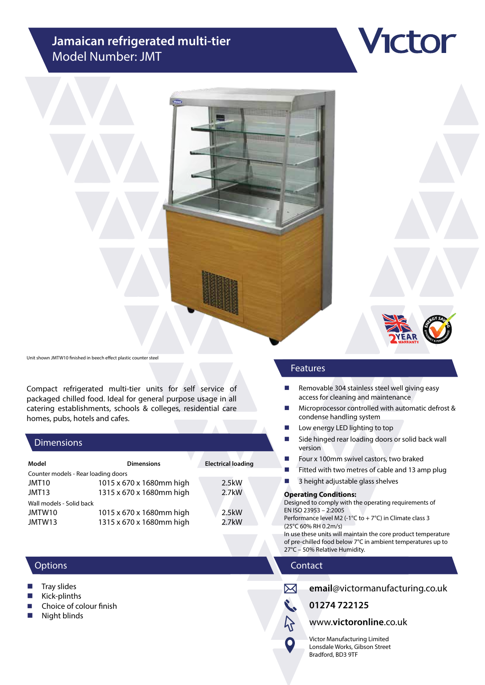# **Jamaican refrigerated multi-tier** Model Number: JMT



**Ictor** 

Unit shown JMTW10 finished in beech effect plastic counter steel

Compact refrigerated multi-tier units for self service of packaged chilled food. Ideal for general purpose usage in all catering establishments, schools & colleges, residential care homes, pubs, hotels and cafes.

# **Dimensions**

| Model                               | <b>Dimensions</b>        | <b>Electrical loading</b> |
|-------------------------------------|--------------------------|---------------------------|
| Counter models - Rear loading doors |                          |                           |
| JMT10                               | 1015 x 670 x 1680mm high | 2.5kW                     |
| JMT13                               | 1315 x 670 x 1680mm high | $2.7$ kW                  |
| Wall models - Solid back            |                          |                           |
| JMTW10                              | 1015 x 670 x 1680mm high | 2.5kW                     |
| JMTW13                              | 1315 x 670 x 1680mm high | $2.7$ kW                  |

# **Options**

- Tray slides
- Kick-plinths
- Choice of colour finish
- **Night blinds**

# Features

- $\blacksquare$  Removable 304 stainless steel well giving easy access for cleaning and maintenance
- Microprocessor controlled with automatic defrost & condense handling system
- **Low energy LED lighting to top**
- Side hinged rear loading doors or solid back wall version
- Four x 100mm swivel castors, two braked
- $\blacksquare$  Fitted with two metres of cable and 13 amp plug
- **3** height adjustable glass shelves

#### **Operating Conditions:**

Designed to comply with the operating requirements of EN ISO 23953 – 2:2005

Performance level M2 (-1°C to + 7°C) in Climate class 3 (25°C 60% RH 0.2m/s)

In use these units will maintain the core product temperature of pre-chilled food below 7°C in ambient temperatures up to 27°C – 50% Relative Humidity.

# Contact



O

**email**@victormanufacturing.co.uk

**01274 722125**

# www.**victoronline**.co.uk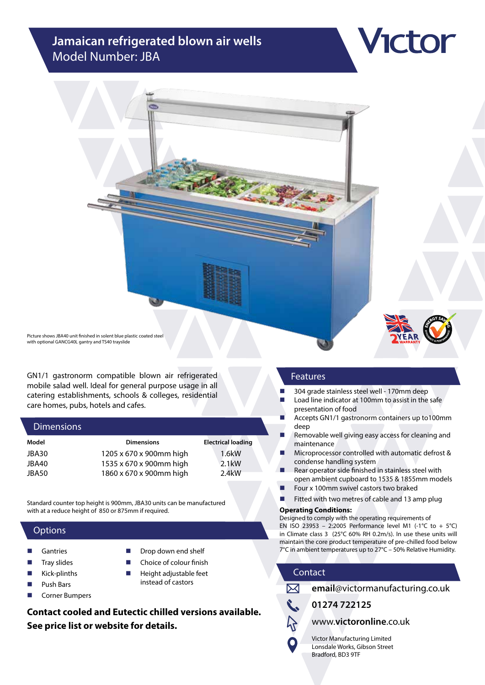# **Jamaican refrigerated blown air wells** Model Number: JBA



ctor

Picture shows JBA40 unit finished in solent blue plastic coated steel with optional GANCG40L gantry and TS40 trayslide

GN1/1 gastronorm compatible blown air refrigerated mobile salad well. Ideal for general purpose usage in all catering establishments, schools & colleges, residential care homes, pubs, hotels and cafes.

#### **Dimensions**

| Model | <b>Dimensions</b>       | <b>Electrical loading</b> |
|-------|-------------------------|---------------------------|
| JBA30 | 1205 x 670 x 900mm high | 1.6kW                     |
| JBA40 | 1535 x 670 x 900mm high | $2.1$ kW                  |
| JBA50 | 1860 x 670 x 900mm high | 2.4 <sub>k</sub> W        |

Standard counter top height is 900mm, JBA30 units can be manufactured with at a reduce height of 850 or 875mm if required.

#### **Options**

- Gantries
- Tray slides
- Kick-plinths
- Push Bars
- Corner Bumpers
- Drop down end shelf
- Choice of colour finish
- Height adjustable feet instead of castors

**Contact cooled and Eutectic chilled versions available. See price list or website for details.**

#### Features

- 304 grade stainless steel well 170mm deep
- Load line indicator at 100mm to assist in the safe presentation of food
- Accepts GN1/1 gastronorm containers up to100mm deep
- **Removable well giving easy access for cleaning and** maintenance
- **Microprocessor controlled with automatic defrost &** condense handling system
- Rear operator side finished in stainless steel with open ambient cupboard to 1535 & 1855mm models
- Four x 100mm swivel castors two braked
- $\blacksquare$  Fitted with two metres of cable and 13 amp plug

#### **Operating Conditions:**

Designed to comply with the operating requirements of EN ISO 23953 – 2:2005 Performance level M1 (-1°C to + 5°C) in Climate class 3 (25°C 60% RH 0.2m/s). In use these units will maintain the core product temperature of pre-chilled food below 7°C in ambient temperatures up to 27°C – 50% Relative Humidity.

# Contact



**email**@victormanufacturing.co.uk

**01274 722125**

www.**victoronline**.co.uk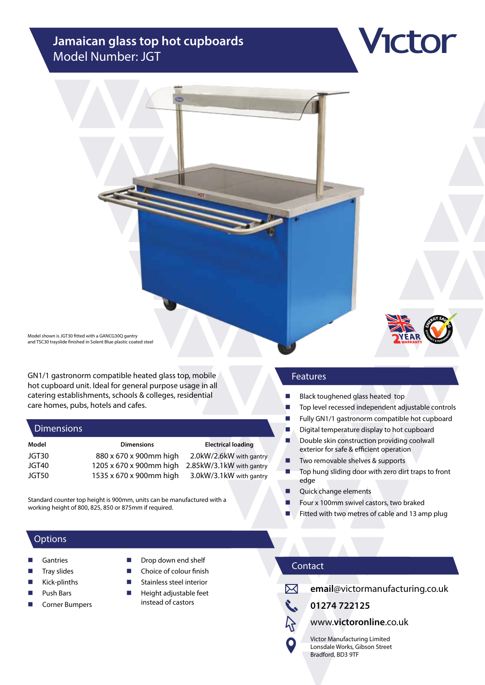# **Jamaican glass top hot cupboards** Model Number: JGT



ctor

Model shown is JGT30 fitted with a GANCG30Q gantry and TSC30 trayslide finished in Solent Blue plastic coated steel

GN1/1 gastronorm compatible heated glass top, mobile hot cupboard unit. Ideal for general purpose usage in all catering establishments, schools & colleges, residential care homes, pubs, hotels and cafes.

#### **Dimensions**

| Model | <b>Dimensions</b>       | <b>Electrical loading</b> |
|-------|-------------------------|---------------------------|
| JGT30 | 880 x 670 x 900mm high  | 2.0kW/2.6kW with gantry   |
| JGT40 | 1205 x 670 x 900mm high | 2.85kW/3.1kW with gantry  |
| JGT50 | 1535 x 670 x 900mm high | 3.0kW/3.1kW with gantry   |

Standard counter top height is 900mm, units can be manufactured with a working height of 800, 825, 850 or 875mm if required.

# **Options**

- Gantries
- Tray slides
- Kick-plinths
- Push Bars
- Corner Bumpers
- Drop down end shelf
- Choice of colour finish
- Stainless steel interior
- $\blacksquare$  Height adjustable feet instead of castors

# Features

- **Black toughened glass heated top**
- Top level recessed independent adjustable controls
- Fully GN1/1 gastronorm compatible hot cupboard
- Digital temperature display to hot cupboard
- Double skin construction providing coolwall exterior for safe & efficient operation
- Two removable shelves & supports
- Top hung sliding door with zero dirt traps to front edge
- **Quick change elements**
- Four x 100mm swivel castors, two braked
- Fitted with two metres of cable and 13 amp plug

# Contact



 $\bullet$ 

**email**@victormanufacturing.co.uk

**01274 722125**

www.**victoronline**.co.uk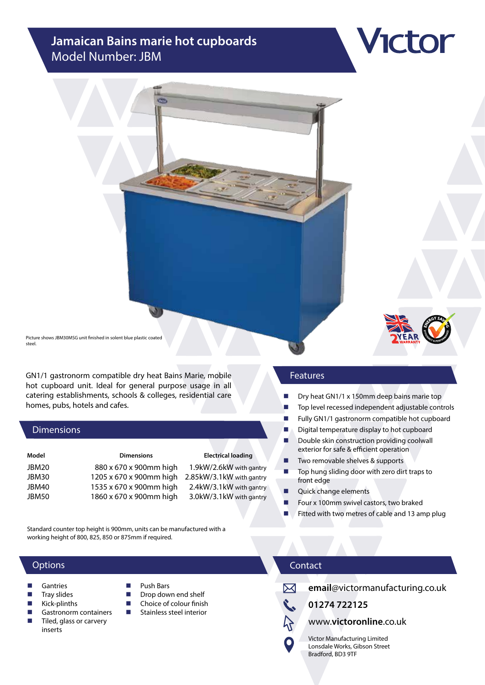# **Jamaican Bains marie hot cupboards** Model Number: JBM



GN1/1 gastronorm compatible dry heat Bains Marie, mobile hot cupboard unit. Ideal for general purpose usage in all catering establishments, schools & colleges, residential care homes, pubs, hotels and cafes.

#### Dimensions

| Model | <b>Dimensions</b>       | <b>Electrical loading</b> |
|-------|-------------------------|---------------------------|
| JBM20 | 880 x 670 x 900mm high  | 1.9kW/2.6kW with gantry   |
| JBM30 | 1205 x 670 x 900mm high | 2.85kW/3.1kW with gantry  |
| JBM40 | 1535 x 670 x 900mm high | 2.4kW/3.1kW with gantry   |
| JBM50 | 1860 x 670 x 900mm high | 3.0kW/3.1kW with gantry   |

Standard counter top height is 900mm, units can be manufactured with a working height of 800, 825, 850 or 875mm if required.

# **Options**

- **Gantries**
- Tray slides
- Kick-plinths
- Gastronorm containers Tiled, glass or carvery inserts
- Push Bars
- Drop down end shelf  $\blacksquare$  Choice of colour finish
- **Stainless steel interior** 
	-

#### Features

- $\Box$  Dry heat GN1/1 x 150mm deep bains marie top
- Top level recessed independent adjustable controls
- Fully GN1/1 gastronorm compatible hot cupboard
- Digital temperature display to hot cupboard
- Double skin construction providing coolwall exterior for safe & efficient operation
- Two removable shelves & supports
- Top hung sliding door with zero dirt traps to front edge
- Quick change elements
- Four x 100mm swivel castors, two braked
- Fitted with two metres of cable and 13 amp plug

# Contact



# **email**@victormanufacturing.co.uk

**01274 722125**

www.**victoronline**.co.uk

Victor Manufacturing Limited Lonsdale Works, Gibson Street Bradford, BD3 9TF



**Ictor**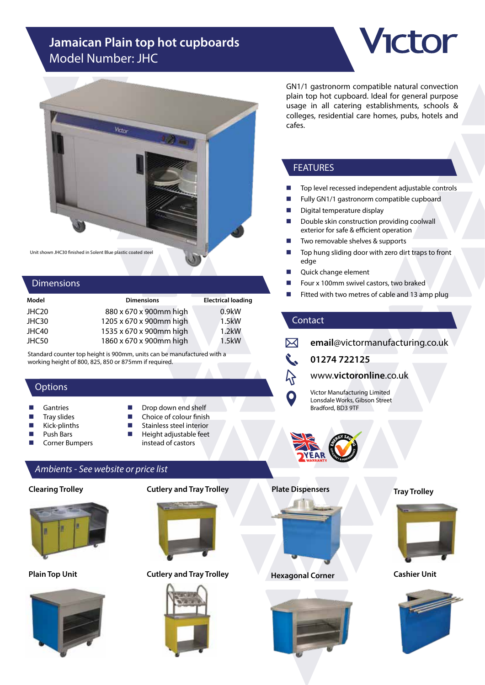# **Jamaican Plain top hot cupboards** Model Number: JHC





#### **Dimensions**

| <b>Dimensions</b>       | <b>Electrical loading</b> |
|-------------------------|---------------------------|
| 880 x 670 x 900mm high  | 0.9kW                     |
| 1205 x 670 x 900mm high | 1.5kW                     |
| 1535 x 670 x 900mm high | $1.2$ kW                  |
| 1860 x 670 x 900mm high | 1.5kW                     |
|                         |                           |

Standard counter top height is 900mm, units can be manufactured with a working height of 800, 825, 850 or 875mm if required.

# **Options**

- **Gantries**
- Tray slides
- Kick-plinths
- Push Bars
- Corner Bumpers

#### Stainless steel interior Height adjustable feet instead of castors

Drop down end shelf Choice of colour finish

# *Ambients - See website or price list*

# **Clearing Trolley**



**Plain Top Unit**



**Cutlery and Tray Trolley**



# **Cutlery and Tray Trolley**



GN1/1 gastronorm compatible natural convection plain top hot cupboard. Ideal for general purpose usage in all catering establishments, schools & colleges, residential care homes, pubs, hotels and cafes.

# FEATURES

- Top level recessed independent adjustable controls
- Fully GN1/1 gastronorm compatible cupboard
- Digital temperature display
- Double skin construction providing coolwall exterior for safe & efficient operation
- Two removable shelves & supports
- Top hung sliding door with zero dirt traps to front edge
- Quick change element
- Four x 100mm swivel castors, two braked
- Fitted with two metres of cable and 13 amp plug

# Contact

イ

 $\boxtimes$ **email**@victormanufacturing.co.uk

# **01274 722125**

# www.**victoronline**.co.uk

Victor Manufacturing Limited Lonsdale Works, Gibson Street Bradford, BD3 9TF



#### **Plate Dispensers**





# **Tray Trolley**